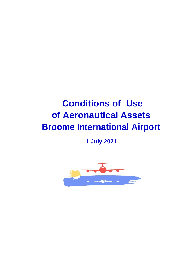# **Conditions of Use of Aeronautical Assets Broome International Airport**

**1 July 2021**

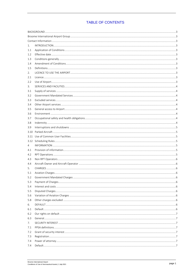# **TABLE OF CONTENTS**

| 1.   |  |
|------|--|
| 1.1  |  |
| 1.2  |  |
| 1.3  |  |
| 1.4  |  |
| 1.5  |  |
| 2.   |  |
| 2.1  |  |
| 2.2  |  |
| 3.   |  |
| 3.1  |  |
| 3.2  |  |
| 3.3  |  |
| 3.4  |  |
| 3.5  |  |
| 3.6  |  |
| 3.7  |  |
| 3.8  |  |
|      |  |
| 3.9  |  |
| 3.10 |  |
| 3.11 |  |
| 3.12 |  |
| 4    |  |
| 4.1  |  |
| 4.2  |  |
| 4.3  |  |
| 4.4  |  |
| 5.   |  |
| 5.1  |  |
| 5.2  |  |
| 5.3  |  |
| 5.4  |  |
| 5.5  |  |
| 5.6  |  |
| 5.8  |  |
| 6.   |  |
| 6.1  |  |
| 6.2  |  |
| 6.3  |  |
| 7.   |  |
| 7.1  |  |
| 7.2  |  |
| 7.3  |  |
| 7.4  |  |
| 7.4  |  |
|      |  |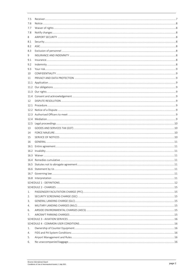| 7.5  |                          |    |
|------|--------------------------|----|
| 7.6  |                          |    |
| 7.7  |                          |    |
| 7.8  |                          |    |
| 8    |                          |    |
| 8.1  |                          |    |
| 8.2  |                          |    |
| 8.3  |                          |    |
| 9    |                          |    |
| 9.1  |                          |    |
| 9.2  |                          |    |
| 9.3  |                          |    |
| 10   |                          |    |
| 11   |                          |    |
| 11.1 |                          |    |
|      |                          |    |
|      |                          |    |
|      |                          |    |
| 12   |                          |    |
|      |                          |    |
|      |                          |    |
|      |                          |    |
|      |                          |    |
|      |                          |    |
| 13   |                          |    |
| 14   |                          |    |
| 15   |                          |    |
| 16   |                          |    |
| 16.1 |                          |    |
|      |                          |    |
|      |                          |    |
|      | 16.4 Remedies cumulative | 11 |
|      |                          |    |
|      |                          |    |
|      |                          |    |
|      |                          |    |
|      |                          |    |
|      |                          |    |
| 1.   |                          |    |
| 2.   |                          |    |
| 3.   |                          |    |
| 4.   |                          |    |
| 6.   |                          |    |
| 7.   |                          |    |
|      |                          |    |
|      |                          |    |
| 1.   |                          |    |
| 4.   |                          |    |
| 5.   |                          |    |
| 6.   |                          |    |
|      |                          |    |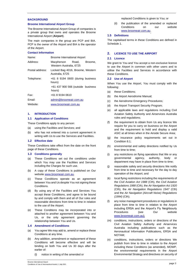# <span id="page-3-0"></span>**BACKGROUND**

### <span id="page-3-1"></span>**Broome International Airport Group**

The Broome International Airport Group of companies is a private group that owns and operates the Broome International Airport (**Airport**).

The main companies in the group are PCP and BIA. PCP is the owner of the Airport and BIA is the operator of the Airport.

#### <span id="page-3-2"></span>**Contact Information**

| Name:           | <b>Broome International Airport</b>                    |  |  |
|-----------------|--------------------------------------------------------|--|--|
| Address:        | Macpherson Road,<br>Broome,<br>Western Australia, 6725 |  |  |
| Postal address: | Locked Bag 4016, Broome, Western<br>Australia, 6725    |  |  |
| Telephone:      | +61 8 9194 0600 (during business<br>hours)             |  |  |
|                 | +61 437 900 566 (outside business<br>hours)            |  |  |
| Fax:            | +61 8 9194 0610                                        |  |  |
| Fmail:          | admin@broomeair.com.au                                 |  |  |
| Website:        | www.broomeair.com.au                                   |  |  |

# <span id="page-3-3"></span>**1. INTRODUCTION**

#### <span id="page-3-4"></span>**1.1 Application of Conditions**

These Conditions apply to any person:

- (a) using the Facilities and Services; and
- (b) who has not entered into a current agreement in writing with Us to use the Services and Facilities.

# <span id="page-3-5"></span>**1.2 Effective date**

These Conditions take effect from the date on the front page of these Conditions.

#### <span id="page-3-6"></span>**1.3 Conditions generally**

- (a) These Conditions set out the conditions under which You may use the Facilities and Services including the Charges for such use.
- (b) A copy of these Conditions is published on Our website [www.broomeair.com.au.](http://www.broomeair.com.au/)
- (c) These Conditions operate as an agreement between You and Us despite You not signing these Conditions.
- (d) By using any of the Facilities and Services You accept these Conditions, and agree to be bound by and comply with them and all of Our rules and reasonable directions from time to time in relation to the use of the Airport.
- (e) These Conditions may be incorporated into or attached to another agreement between You and Us, or the only agreement governing the relationship between You and Us.

#### <span id="page-3-7"></span>**1.4 Amendment of Conditions**

- (a) You agree We may add to, amend or replace these Conditions at any time.
- (b) Any addition, amendment or replacement of these Conditions will become effective and will be binding on both You and Us 30 days after the earlier of:
	- (i) notice in writing of the amended or

replaced Conditions is given to You; or

(ii) the publication of the amended or replaced Conditions on our website [www.broomeair.com.au.](http://www.broomeair.com.au/)

# <span id="page-3-8"></span>**1.5 Definitions**

The capitalised terms in these Conditions are defined in Schedule 1.

# <span id="page-3-9"></span>**2. LICENCE TO USE THE AIRPORT**

# <span id="page-3-10"></span>**2.1 Licence**

We grant to You and You accept a non-exclusive licence to use the Airport in common with other users and to utilise the Facilities and Services in accordance with these Conditions.

# <span id="page-3-11"></span>**2.2 Use of Airport**

When You use the Airport, You must comply with the following:

- (a) these Conditions;
- (b) the Airport Aerodrome Manual;
- (c) the Aerodrome Emergency Procedures;
- (d) the Airport Transport Security Program;
- (e) all applicable laws and regulations including Civil Aviation Safety Authority and Airservices Australia rules and regulations;
- (f) the requirement to obtain from Us any licence We require for you to carry on business on the Airport and the requirement to hold and display a valid ASIC at all times when in the Airside Secure Area;
- (g) the insurance policy requirements set out in Condition 8.1;
- (h) environmental and safety directions notified by Us from time to time;
- (i) any restrictions on flying operations that We or any governmental agency, authority, body or department may have in place from time to time;
- (j) reasonable safety and security directions We notify from time to time and necessary for the day to day operation of the Airport; and
- (k) local flying restrictions including the requirements of the *Civil Aviation Act 1988* (Cth), the *Civil Aviation Regulations 1988* (Cth), the *Air Navigation Act 1920*  (Cth), the *Air Navigation Regulations 1947* (Cth) and the *Air Navigation (Aircraft Noise) Regulations (1994)* (Cth);
- (l) any noise management procedures or regulations in place from time to time in relation to the Airport including ERSA and the Airport's Fly Neighbourly Procedures (see Our website [www.broomeair.com.au\)](http://www.broomeair.com.au/);
- (m) conditions, instructions, orders or directions of the Civil Aviation Safety Authority and Airservices Australia including publications such as the Aeronautical Information Publications, ERSA and NOTAM;
- (n) conditions, instructions, orders or directions We publish from time to time in relation to the Airport including these Conditions (as amended), MOWP, the environmental requirements in the Airport Environmental Strategy and directives on security of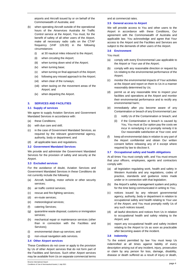airports and Aircraft issued by or on behalf of the Commonwealth of Australia; and

- (k) when operating Aircraft outside of the operational hours of the Airservices Australia Air Traffic Control service at the Airport, You must, for the benefit of safety of all other users of the Airport, make all necessary radio calls on the CTAF frequency (VHF 126.00) in the following circumstances:
	- (i) at 30 nautical miles inbound to the Airport;
	- (ii) when circuiting the Airport;
	- (iii) when turning down wind of the Airport;
	- (iv) when turning base;
	- (v) when turning on final approach of the Airport;
	- (vi) following any missed approach to the Airport;
	- (vii) when clear of the runways;
	- (viii) when taxiing on the movement areas of the Airport; and
	- (ix) when departing the Airport.

#### <span id="page-4-0"></span>**3. SERVICES AND FACILITIES**

#### <span id="page-4-1"></span>**3.1 Supply of services**

We agree to supply Aviation Services and Government Mandated Services in accordance with:

- (a) these Conditions;
- (b) with due care and skill;
- (c) in the case of Government Mandated Services, as required by the relevant governmental agency, authority, body or department; and
- (d) all applicable laws and regulations.

#### <span id="page-4-2"></span>**3.2 Government Mandated Services**

We provide and administer the Government Mandated Services for the provision of safety and security at the Airport.

#### <span id="page-4-3"></span>**3.3 Excluded services**

For the avoidance of doubt, Aviation Services and Government Mandated Services in these Conditions do not currently include the following:

- (a) Aircraft, building, motor vehicle or other security services;
- (b) air traffic control services;
- (c) rescue and fire-fighting services;
- (d) en-route services;
- (e) meteorological services;
- (f) catering Services;
- (g) quarantine waste disposal, customs or immigration services;
- (h) mechanical repair or maintenance services (other than in connection with the Facilities and Services);
- (i) environmental clean-up services; and
- (j) non-visual navigation aids services.

#### <span id="page-4-4"></span>**3.4 Other Airport services**

These Conditions do not cover or apply to the provision by Us of other Airport services that do not form part of the Facilities and Services. Such other Airport services may be available from Us on separate commercial terms

subject to the demands of other users of the Airport.

# <span id="page-4-6"></span>**3.6 Environment**

and at commercial rates.

<span id="page-4-5"></span>**3.5 General access to Airport**

You must:

(a) comply with every Environmental Law applicable to the Airport or Your use of the Airport;

We will provide access to You and other users to the Airport in accordance with these Conditions, Our agreement with the Commonwealth of Australia and applicable law. You acknowledge and agree that Your access to the Airport and the Facilities and Services are

- (b) comply with any reasonable direction or request by Us relating to the environmental performance of the Airport;
- (c) monitor the environmental impacts of Your activities at the Airport and report on them to Us in a manner reasonably determined by Us;
- (d) permit us at any reasonable time to inspect your facilities and operations at the Airport and monitor their environmental performance and to rectify any environmental harm;
- (e) immediately after you become aware of any Contamination or breach of any Environmental Law:
	- (i) notify Us of the Contamination or breach; and
	- (ii) if the Contamination or breach is caused by You, You must at Our option pay the costs we incur in remedying it or promptly remedy it to Our reasonable satisfaction at Your cost; and
- (f) keep all environmental data in relation to any part of the Airport confidential and obtain Our written consent before releasing any of it except where required by law to disclose it.

# <span id="page-4-7"></span>**3.7 Occupational safety and health obligations**

At all times You must comply with, and You must ensure that your officers, employees, agents and contractors comply with:

- (a) all legislation regulating work, health and safety in Western Australia and any regulations, codes of practice, standards and guidance notes made under or in connection with that legislation;
- (b) the Airport's safety management system and policy for the time being communicated in writing to You;
- (c) notices issued by any relevant governmental agency, authority, body or department in relation to occupational safety and health relating to Your use of the Airport, and You must promptly notify Us of any such notices issued;
- (d) all lawful directions and notices from Us in relation to occupational health and safety relating to the Airport; and
- (e) report any occupational health and safety incident relating to the Airport to Us as soon as practicable after becoming aware of the incident.

# <span id="page-4-8"></span>**3.8 Indemnity**

To the extent permitted by law You must keep Us indemnified at all times against liability of every description arising out of any incident, injury, prosecution or claim by any person for loss, damage, disability, disease or death suffered as a result of injury or death,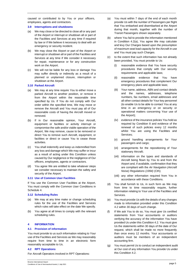caused or contributed to by You or your officers, employees, agents and contractors.

# <span id="page-5-0"></span>**3.9 Interruptions and shutdowns**

- (a) We may close or be directed to close all or any part of the Airport or interrupt or shutdown all or part of the Facilities and Services at any time if required by law or if We believe it necessary to deal with an emergency or security incident.
- (b) We may close the Airport or part of the Airport or interrupt or shutdown all or part of the Facilities and Services at any time if We consider it necessary for repair, maintenance or for any construction work on the Airport.
- (c) We will not be liable for any loss or damage You may suffer directly or indirectly as a result of a planned or unplanned closure, interruption or shutdown at the Airport.

#### <span id="page-5-1"></span>**3.10 Parked Aircraft**

- (a) We may at any time require You to either move a parked Aircraft to another position, or remove it from the Airport within the reasonable time specified by Us. If You do not comply with Our order within the specified time, We may move or remove the Aircraft and You must pay all of Our reasonable costs of having the Aircraft moved or removed.
- (b) If in Our reasonable opinion, Your Aircraft, equipment or facilities or activity interrupt or compromise the safe and/or viable operation of the Airport, We may remove, cause to be removed or direct You to remove such Aircraft, equipment, or facilities or direct or cause You to cease those activities.
- (c) You shall indemnify and keep us indemnified from any loss and damage which We may suffer or incur as a result of acting under this Condition unless caused by Our negligence or the negligence of Our officers, employees, agents or contractors.
- (d) You agree We are entitled to take whatever steps we consider necessary to maintain the safety and security of the Airport.

# <span id="page-5-2"></span>**3.11 Use of Common User Facilities**

If You use the Common User Facilities at the Airport, You must comply with the Common User Conditions in Schedule 4.

#### <span id="page-5-3"></span>**3.12 Scheduling Rules**

- (a) We may at any time make or change scheduling rules for the use of the Facilities and Services which rules will take effect on the date We specify.
- (b) You agree at all times to comply with the relevant scheduling rules.

# <span id="page-5-4"></span>**4 INFORMATION**

# <span id="page-5-5"></span>**4.1 Provision of information**

You must provide to us such information relating to Your use of the Facilities and Services as We may reasonably require from time to time in an electronic form reasonably acceptable to Us.

#### <span id="page-5-6"></span>**4.2 RPT Operations**

For Aircraft Operators involved in RPT Operations:

- (a) You must within 7 days of the end of each month provide Us with the number of Passengers per flight that You embarked and disembarked at the Airport during that month, together with the number of Transit Passengers shown separately.
- (b) where You fail to provide the information mentioned in Condition 4.2(a), You agree We may calculate and levy Our Charges based upon the presumption of maximum seat load capacity for the Aircraft in use and You must pay such Charges.
- (c) to the extent that such information has not already been provided, You must provide to Us:
	- (i) reasonable evidence that You have security procedures that comply with Our security requirements and applicable laws;
	- (ii) reasonable evidence that You have emergency procedures that complement Our emergency plans and applicable laws;
	- (iii) Your name, address, ABN and contact details and the names, addresses, telephone numbers, fax numbers, email addresses and all other contact details for Your key personnel (to enable Us to be able to contact You at any time in an emergency or on security or operational matters concerning Your use of the Airport);
	- (iv) evidence of the insurance policies You hold as required by Condition 8 and evidence of the renewal of such policies every 12 months whilst You are using the Facilities and Services;
	- (v) ground handling arrangements for Your passengers and cargo;
	- (vi) arrangements for the repositioning of Your stationary Aircraft;
	- (vii) information on the types and standards of Aircraft being flown by You to and from the Airport and, if available, confirmation that they are compliant with the *Air Navigation (Aircraft Noise) Regulations (1994)* (Cth);
	- (viii) any other information required from You in accordance with these Conditions.
- (d) You shall furnish to Us, in such form as We may from time to time reasonably require, further information relating to Your use of the Facilities and **Services**
- (e) You must provide Us with the details of any changes made to information provided under this Condition 4.2 within 30 days of such change.
- (f) If We ask You to do so, You must give Us certified statements from Your accountants or auditors verifying the accuracy of the information You have provided Us under this Condition 4.2. You must give Us the statements within 30 days of the date of Our request, which shall be made no more frequently than once every 12 months. Your accountants or auditors must be members of an independent accounting firm.
- (g) You must permit Us to conduct an independent audit at Our cost of any information You provide Us under this Condition 4.2.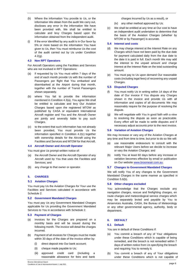- (h) Where the information You provide to Us, or the information We obtain from the audit We carry out, discloses any error in the information We have been provided with, We shall be entitled to calculate and levy Charges based upon the information obtained from the independent audit.
- (i) If the error identified by any audit is in Our favor by 5% or more based on the information You have given to Us, then You must reimburse Us the cost of the audit carried out by Us under Condition  $4.2(q)$ .

# <span id="page-6-0"></span>**4.3 Non RPT Operators**

For Aircraft Operators using the Facilities and Services who are not involved in RPT Operations:

- (a) if requested by Us You must within 7 days of the end of each month provide Us with the number of Passengers per flight that You embarked and disembarked at the Airport during that month, together with the number of Transit Passengers shown separately.
- (b) where You fail to provide the information mentioned in Condition 4.3(a), You agree We shall be entitled to calculate and levy Our Aviation Charges based upon the registered MTOW as published by CASA or equivalent International Aircraft register and You and the Aircraft Owner are jointly and severally liable to pay such Charges.
- (c) to the extent that such information has not already been provided, You must provide Us the information specified in Condition 4.2(c) together with ownership details for the Aircraft using the Facilities and Services and MTOW for that Aircraft.

### <span id="page-6-1"></span>**4.4 Aircraft Owner and Aircraft Operator**

You must give Us prompt written notice of:

- (a) the Aircraft Owner and the Aircraft Operator of any Aircraft used by You that uses the Facilities and Services; and
- (b) any change to that owner or operator.

#### <span id="page-6-2"></span>**5. CHARGES**

#### <span id="page-6-3"></span>**5.1 Aviation Charges**

You must pay Us the Aviation Charges for Your use the Facilities and Services calculated in accordance with Schedule 2.

#### <span id="page-6-4"></span>**5.2 Government Mandated Charges**

You must pay Us any Government Mandated Charges applicable for Us providing the Government Mandated Services to You in accordance with Schedule 2.

# <span id="page-6-5"></span>**5.3 Payment of Charges**

- (a) Invoices for the Charges are prepared on a monthly basis and will be issued during the following month. The invoice will detail the charges incurred.
- (b) Payment of all invoices for Charges must be made within 30 days of the date of the invoice either by:
	- (i) direct deposit into Our bank account;
	- (ii) cheque made payable to Us;
	- (iii) approved credit card (including a reasonable allowance for fees and bank

charges incurred by Us as a result), or

(iv) any other method approved by Us.

(c) We shall be entitled at any time at Our cost to have an independent audit undertaken to determine that the basis of the Aviation Charges (whether by MTOW or by Passenger) is accurate.

# <span id="page-6-6"></span>**5.4 Interest and costs**

- (d) We may charge interest at the Interest Rate on any Charges which have not been paid by the due date for payment calculated daily from the due date to the date it is paid in full. Each month We may add the interest to the unpaid amount and charge interest at the Interest Rate on the total outstanding amount.
- (e) You must pay to Us upon demand Our reasonable costs (including legal fees) of recovering any unpaid Charges.

#### <span id="page-6-7"></span>**5.5 Disputed Charges**

- (f) You must notify Us in writing within 14 days of the date of Our invoice if You dispute any Charges shown in the invoice and provide Us with all information and copies of all documents We may reasonably require for the purpose of resolving the dispute.
- (g) We will negotiate with You in good faith with a view to resolving the dispute as soon as practicable. Every effort will be made to settle disputes and if necessary adjust accounts prior to the next invoice.

#### <span id="page-6-8"></span>**5.6 Variation of Aviation Charges**

We may increase or vary any of the Aviation Charges at any time and from time to time, but prior to do so We will:

- use reasonable endeavours to consult with the relevant Major Users before we decide to increase or vary the Aviation Charges; and
- (b) notify You at least 60 days before any increase or variation becomes effective by email or publication on Our website [www.broomeair.com.au.](http://www.broomeair.com.au/)

#### **5.7 Changes to Government Mandated Charges**

We will notify You of any changes to the Government Mandated Charges in the same manner as specified in Condition 5.6(b).

#### <span id="page-6-9"></span>**5.8 Other charges excluded**

You acknowledge that the Charges exclude any navigation charges, rescue and firefighting charges, en route charges and meteorological service charges which may be separately levied and payable by You to Airservices Australia, CASA, the Bureau of Meteorology or any other governmental agency, authority, body or department.

# <span id="page-6-10"></span>**6. DEFAULT**

#### <span id="page-6-11"></span>**6.1 Default**

You are in default of these Conditions if:

- (a) You commit a breach of any of Your obligations under these Conditions which is capable of being remedied, and the breach is not remedied within 7 days of written notice from Us specifying the breach and requiring You to remedy it;
- (b) You commit a breach of any of Your obligations under these Conditions which is not capable of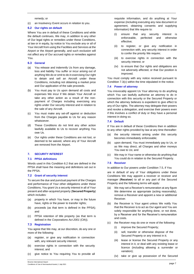remedy; or

(c) an Insolvency Event occurs in relation to you.

#### <span id="page-7-0"></span>**6.2 Our rights on default**

Where You are in default of these Conditions and while the default continues, We may, in addition to any other of Our legal rights or remedies under these Conditions, at law or in equity, by notice to You exclude any or all of Your Aircraft from using the Facilities and Services at the Airport or the Airport generally, and such exclusion will not affect any of Our accrued rights or remedies against You.

#### <span id="page-7-1"></span>**6.3 General**

- (a) You release and indemnify Us from any damage, loss and liability You suffer or incur arising out of anything We do or omit to do in exercising Our right to detain and sell an Aircraft under these Conditions, including not obtaining a market price and Our application of the sale proceeds.
- (b) You must pay to Us upon demand all costs and expenses We incur if We detain Your Aircraft or take any other action as a result of the nonpayment of Charges including exercising any rights under Our security interest and in relation to the sale of any Aircraft.
- (c) You must make any set-off against or deduction from the Charges payable to Us for any reason whatsoever.
- (d) These Conditions do not limit any other action lawfully available to Us to recover anything You owe Us.
- (e) Our rights under these Conditions are not lost, or deemed to be waived, where any of Your Aircraft are removed from the Airport.

# <span id="page-7-2"></span>**7. SECURITY INTEREST**

#### <span id="page-7-3"></span>**7.1 PPSA definitions**

Words used in this Condition 6.2 that are defined in the PPSA shall have the meaning and definitions set out in the PPSA.

#### <span id="page-7-4"></span>**7.2 Grant of security interest**

To secure the due and punctual payment of the Charges and performance of Your other obligations under these Conditions, You grant Us a security interest in all of Your present and after-acquired property (**Secured Property**) which includes:

- (a) property in which You have, or may in the future have, rights or the power to transfer rights;
- (b) proceeds (as that term is defined in the PPSA); and
- (c) PPSA retention of title property (as that term is defined in the *Corporations Act 2001* (Cth)).

#### <span id="page-7-5"></span>**7.3 Registration**

You agree that We may, at our discretion, do any one or more of the following:

- (a) register, or give any notification in connection with, any relevant security interest;
- (b) exercise rights in connection with the security interest; and
- (c) give notice to You requiring You to provide all

requisite information, and do anything at Your expense (including executing any new document or agreement, obtaining consents and supplying information) that We require to:

- (i) ensure that any security interest is enforceable, perfected and otherwise effective;
- (ii) to register, or give any notification in connection with, any security interest in order to confer the priority We require;
- (iii) to exercise rights in connection with the security interest; or
- (iv) to ensure that Our rights and obligations are not adversely affected, or that Our position is improved.

You must comply with any notice received pursuant to Condition 7.3(c) within the time stipulated in the notice.

#### <span id="page-7-6"></span>**7.4 Power of attorney**

You irrevocably appoint Us Your attorney to do anything which You can lawfully authorise an attorney to do in connection with this security or the Secured Property or which the attorney believes is expedient to give effect to any of Our rights. The attorney may delegate their powers and revoke a delegation, and exercise their powers even if this involves a conflict of duty or they have a personal interest in doing so.

#### <span id="page-7-7"></span>**7.4 Default**

If You are in default of these Conditions then in addition to any other rights provided by law at any time thereafter:

- (a) the security interest arising under this security becomes immediately enforceable;
- (b) upon demand, You must immediately pay to Us, or as We may direct, all Charges and other moneys You owe to Us; and
- (c) We may in Your name or otherwise do anything that You could do in relation to the Secured Property.

#### <span id="page-7-8"></span>**7.5 Receiver**

In addition to Our powers under Condition 7.5, if You

are in default of any of Your obligations under these Conditions We may appoint a receiver or receiver and manager (**Receiver**) to all or any part of the Secured Property and the following terms will apply:

- (a) We may set a Receiver's remuneration at any figure We determine as appropriate (acting reasonably), remove a Receiver and appoint a new or additional Receiver.
- (b) the Receiver is Your agent unless We notify You that the Receiver is to act as Our agent and You are solely responsible for anything done, or not done, by a Receiver and for the Receiver's remuneration and costs.
- (c) the Receiver may do one or more of the following:
	- (i) improve the Secured Property;
	- (ii) sell, transfer or otherwise dispose of the Secured Property or any interest in it;
	- (iii) lease or license the Secured Property or any interest in it, or deal with any existing lease or licence (including allowing a surrender or variation);
	- (iv) take or give up possession of the Secured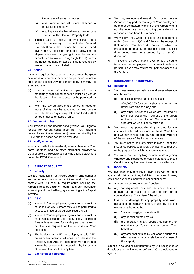Property as often as it chooses;

- (v) sever, remove and sell fixtures attached to the Secured Property;
- (vi) anything else the law allows an owner or a Receiver of the Secured Property to do.
- (d) if either Us or a Receiver determine that urgent action is necessary to protect the Secured Property then neither Us nor the Receiver need give You any notice or demand or allow time to elapse before exercising a right under the security or conferred by law (including a right to sell) unless the notice, demand or lapse of time is required by law and cannot be excluded.

#### <span id="page-8-0"></span>**7.6 Notice**

If the law requires that a period of notice must be given or a lapse of time must occur or be permitted before a right under the security or conferred by law may be exercised, then:

- (a) when a period of notice or lapse of time is mandatory, that period of notice must be given or that lapse of time must occur or be permitted by Us; or
- (b) when the law provides that a period of notice or lapse of time may be stipulated or fixed by the security, then 7 days is stipulated and fixed as that period of notice or lapse of time.

#### <span id="page-8-1"></span>**7.7 Waiver of rights**

You irrevocably and unconditionally waive Your right to receive from Us any notice under the PPSA (including notice of a verification statement) unless required by the PPSA and the notice cannot be excluded.

#### <span id="page-8-2"></span>**7.8 Notify changes**

You must notify Us immediately of any change in Your name, address, and any other information provided to Us to enable Us to register a financing change statement under the PPSA if required.

#### <span id="page-8-3"></span>**8 AIRPORT SECURITY**

#### <span id="page-8-4"></span>**8.1 Security**

We are responsible for Airport security arrangements and emergency response activities and You must comply with Our security requirements including the Airport Transport Security Program and our Passenger screening and checked baggage screening at the Airport Terminal.

<span id="page-8-5"></span>**8.2 ASIC**

- (a) You and Your employees, agents and contractors must hold an ASIC before they will be permitted to access and use of the Airside Secure Area.
- (b) You and Your employees, agents and contractors must not access or use the Security Restricted Area unless required for valid operational reasons or otherwise required for the purposes of Your business.
- (c) The holder of an ASIC must display a valid ASIC on his or her person at all times he or she is in the Airside Secure Area in the manner we require and it must be produced for inspection by Us or any other lawful authority at any time.
- <span id="page-8-6"></span>**8.3 Exclusion of personnel**
- (a) We may exclude and restrain from being on the Airport or any part thereof any of Your employees, agents or contractors working at the Airport who in our discretion are not conducting themselves in a reasonable and bona fide manner
- (b) We will give You written notice of Our requirement under Condition 4.5(a) and following the receipt of that notice You have 48 hours in which to investigate the matter, and discuss it with Us. This time period may be extended by Us at Our discretion.
- (c) This Condition does not entitle Us to require You to terminate the employment or contract with any person, but We may restrict that person's access to the Airport.

#### <span id="page-8-7"></span>**9 INSURANCE AND INDEMNITY**

#### <span id="page-8-8"></span>**9.1 Insurance**

- (a) You must take out an maintain at all times when you use the Airport:
	- (i) public liability insurance for at least \$20,000,000 (or such higher amount as We notify from time to time); and
	- (ii) any other insurances which are required by law in connection with Your use of the Airport or that a prudent Aircraft Owner or Aircraft Operator would ordinarily take out.
- (b) You must pay punctually all premiums for the insurance effected pursuant to these Conditions and whenever requested by Us produce evidence of the currency of the insurance policies.
- (c) You must notify Us if any claim is made under the insurance policies and apply the insurance moneys to the purpose for which the claim was made.
- (d) You must not do anything or omit to do anything whereby any insurance effected pursuant to these Conditions may become vitiated or non- effective.

#### <span id="page-8-9"></span>**9.2 Indemnity**

You must indemnify and keep indemnified Us from and against all claims, actions, liabilities, damages, losses, costs and expenses incurred in connection with:

- (a) any breach by You of these Conditions;
- (b) any consequential loss and economic loss or damage as a result of or arising from or in connection with Your Use of the Airport;
- (c) loss of or damage to any property and injury, disease or death to any person, caused by or to the extent contributed to by:
	- (i) Your act, negligence or default;
	- (ii) any danger created by You;
	- (iii) the operation of any aircraft, equipment, or machinery by You or any person on Your behalf; or
	- (iv) any other act or thing by You or on Your behalf which arises from or in relation to Your use of the Airport,

extent it is caused or contributed to by Our negligence or default or the negligence or default of Our employees or agents.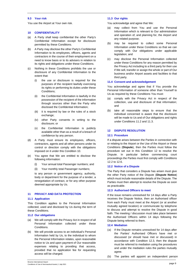#### <span id="page-9-0"></span>**9.3 Your risk**

You use the Airport at Your own risk.

#### <span id="page-9-1"></span>**10 CONFIDENTIALITY**

- (a) A Party shall keep confidential the other Party's Confidential Information except for disclosure permitted by these Conditions.
- (b) A Party may disclose the other Party's Confidential Information to its employees, officers, agents and contractors in the course of their employment on a need to know basis or to its advisers in relation to its rights and obligations under these Conditions.
- (c) Nothing in these Conditions prohibits the use or disclosure of any Confidential Information to the extent that:
	- (i) the use or disclosure is required for the purposes of the recipient lawfully exercising its rights or performing its duties under these Conditions;
	- (ii) the Confidential Information is lawfully in the possession of the recipient of the information through sources other than the Party who disclosed the Confidential Information;
	- (iii) it is required by law or the rules of a stock exchange;
	- (iv) other Party consents in writing to the disclosure; or
	- (v) the Confidential Information is publicly available other than as a result of a breach of confidence by any person.
- (d) A Party must ensure its employees, officers, contractors, agents and all other persons under its control or direction comply with the obligations imposed on it under this Condition 10.
- (e) You agree that We are entitled to disclose the following information:
	- (i) Your annual total Passenger numbers; and
	- (ii) Your monthly total Passenger numbers;

to any person or government agency, authority, body or department for the purpose of a tender, a renegotiation of contract, or for any other purpose deemed appropriate by Us.

#### <span id="page-9-2"></span>**11 PRIVACY AND DATA PROTECTION**

#### <span id="page-9-3"></span>**11.1 Application**

This Condition applies to the Personal Information collected, used and disclosed by Us during the term of these Conditions.

#### <span id="page-9-4"></span>**11.2 Our obligations**

- We will comply with the Privacy Act in respect of all Personal Information collected under these Conditions.
- (b) We will provide access to an individual's Personal Information held by Us, to the individual to whom the Personal Information relates, upon reasonable notice to Us and upon payment of Our reasonable expenses relating to providing that access, provided that no application fee for requesting access will be charged.

# <span id="page-9-5"></span>**11.3 Our rights**

You acknowledge and agree that We:

- (a) may collect from You and use the Personal Information which is relevant to Our administration and operation of, and planning for, the Airport and any related purpose;
- (b) may be required to collect some Personal Information under these Conditions so that we can comply with Our obligations under applicable legislation; and
- (c) may disclose the Personal Information collected under these Conditions for any reason permitted by the Privacy Act including to a third party for their use if We sell, transfer or assign the whole or part of Our business and/or Airport assets and facilities to that third party.

#### <span id="page-9-6"></span>**11.4 Consent and acknowledgement**

You acknowledge and agree that if You provide the Personal Information of someone other than Yourself to Us as required by these Conditions You must:

- comply with the Privacy Act in respect of the collection, use and disclosure of that information; and
- (b) take all reasonable steps to ensure that the individual concerned is aware that the disclosure will be made to Us and of Our obligations and rights under Conditions 11.2 and 11.3.

#### <span id="page-9-7"></span>**12 DISPUTE RESOLUTION**

#### <span id="page-9-8"></span>**12.1 Procedure**

If a dispute arises between the Parties in connection with or relating to the Airport or the Use of the Airport or these Conditions (**Dispute**), then the Parties must follow the procedure set out in this Condition 12 to resolve the Dispute. In particular before commencing court proceedings the Parties must first comply with Conditions 12.2 to 12.6.

#### <span id="page-9-9"></span>**12.2 Notice of a Dispute**

The Party that considers a Dispute has arisen must give the other Party notice of the Dispute (**Dispute Notice**) which must include reasonable details of the Dispute. The Parties must then attempt to resolve the Dispute as soon as practicable.

#### <span id="page-9-10"></span>**12.3 Authorised Officers to meet**

If the issue remains unresolved for 14 days after a Party receives the Dispute Notice, then an Authorised officer from each Party must meet at the Airport (or at another mutually agreed location) or communicate by telephone to discuss and attempt to resolve the Dispute in good faith. The meeting / discussion must take place between the Authorised Officers within 14 days following the Dispute being referred to them.

#### <span id="page-9-11"></span>**12.4 Mediation**

- (a) If the Dispute remains unresolved for 14 days after the Parties' Authorised Officers have met or discussed (or should have met or discussed) in accordance with Condition 12.3, then the dispute must be referred to mediation using the procedures and under the mediation rules the parties mutually agree.
- (b) The parties will appoint an independent person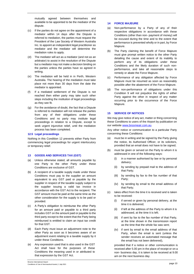mutually agreed between themselves and available to be appointed to be the mediator of the dispute.

- (c) If the parties do not agree on the appointment of a mediator within 14 days after the Dispute is referred to mediation, the parties must request the President of the Law Society of Western Australia Inc. to appoint an independent legal practitioner as mediator and the mediator will determine the mediation rules to apply.
- (d) The mediator will act as a mediator (and not as an arbitrator) to assist in the resolution of the Dispute but a mediator may not make a decision binding on the parties unless the parties have so agreed in writing.
- (e) The mediation will be held in in Perth, Western Australia. The hearing of the mediation must take place not more than 30 days from the date the mediator is appointed.
- (f) If a mediated settlement of the Dispute is not reached then either party may take such other steps including the institution of legal proceedings as they see fit.
- (g) For the avoidance of doubt, the fact that a Dispute is referred to mediation will not release the parties from any of their obligations under these Conditions and no party may institute legal proceedings in relation to a Dispute, except to seek urgent injunctive relief, until the mediation process has been completed.

#### <span id="page-10-0"></span>**12.5 Legal proceedings**

Nothing in this Condition 12 prevents either Party from commencing legal proceedings for urgent interlocutory or temporary relief.

#### <span id="page-10-1"></span>**13 GOODS AND SERVICES TAX (GST)**

- (a) Unless otherwise stated, all amounts payable by one Party to the other Party under these Conditions are exclusive of GST.
- (b) A recipient of a taxable supply made under these Conditions must pay to the supplier an amount equivalent to any GST paid or payable by the supplier in respect of the taxable supply subject to the supplier issuing a valid tax invoice in accordance with the GST Act to the recipient. The GST amount must be paid at the same time as the other consideration for the supply is to be paid or provided.
- (c) A Party's obligation to reimburse the other Party for an amount paid or payable to a third party includes GST on the amount paid or payable to the third party except to the extent that the Party being reimbursed is entitled to claim an input tax credit for that GST.
- (d) Each Party must issue an adjustment note to the other Party as soon as it becomes aware of an adjustment event relating to a taxable supply by it under these Conditions.
- (e) Any expression used that is also used in the GST Act shall have for the purposes of these Conditions the meaning used in or attributed to that expression by the GST Act.

#### <span id="page-10-2"></span>**14 FORCE MAJEURE**

- (a) Non-performance by a Party of any of their respective obligations in accordance with these Conditions (other than non- payment of money) will be excused during the time and to the extent that performance is prevented wholly or in part, by Force Majeure.
- (b) The Party claiming the benefit of Force Majeure must give prompt written notice to the other Party detailing the cause and extent of its inability to perform any of its obligations under these Conditions and the likely duration of such nonperformance, and take all reasonable steps to remedy or abate the Force Majeure.
- (c) Performance of any obligation affected by Force Majeure must be resumed as soon as reasonably possible after the abatement of the Force Majeure.
- (d) The non-performance of obligations under this Condition 9 will not prejudice the rights of either Party against the other in respect of any matter occurring prior to the occurrence of the Force Majeure.

#### <span id="page-10-3"></span>**15 SERVICE OF NOTICES**

We may give notice of any act, matter or thing concerning these Conditions to users of the Airport by publication on our websit[e www.broomeair.com.au.](http://www.broomeair.com.au/)

Any other notice or communication to a particular Party concerning these Conditions:

- (a) must be in writing and be signed by the Party giving the notice, its Authorised Officer, or its solicitors, provided that an email does not have to be signed;
- (b) must be given or served on the Party to whom it is addressed in one of the following ways:
	- (i) in a manner authorised by law or by personal delivery;
	- (ii) by sending by prepaid mail to the address of that Party;
	- (iii) by sending by fax to the fax number of that Party;
	- (iv) by sending by email to the email address of that Party;
- (c) takes effect from the time it is received and is taken to be received:
	- (i) if served or given by personal delivery, at the time it is delivered;
	- (ii) if left at the address of the Party to whom it is addressed, at the time it is left;
	- (iii) if sent by fax to the fax number of that Party, at the time shown in the transmission report as the time that the whole fax was sent;
	- (iv) if sent by email to the email address of that Party, when the email is sent (unless the sender receives an automated message that the email has not been delivered),

provided that if a notice or other communication is received after 5.00 pm in the place of receipt or on a non- business day, it is taken to be received at 9.00 am on the next business day.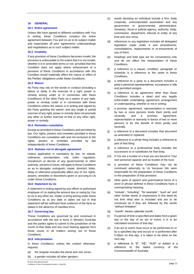# <span id="page-11-0"></span>**16 GENERAL**

#### <span id="page-11-1"></span>**16.1 Entire agreement**

Unless We have agreed to different conditions with You in writing, these Conditions contains the entire agreement between You and Us as to its subject matter and supersedes all prior agreements understandings and negotiations as to such subject matter.

#### <span id="page-11-2"></span>**16.2 Invalidity**

If any provision of these Conditions becomes invalid, the provision is enforceable to the extent that it is not invalid, whether it is in severable terms or not, provided that this Condition does not apply where enforcement of a provision of these Conditions in accordance with this Condition would materially affect the nature or effect of the Parties' obligations under these Conditions.

#### <span id="page-11-3"></span>**16.3 Waiver**

No Party may rely on the words or conduct (including a failure or delay in the exercise of a right, power or remedy arising under or in connection with these Conditions) of the other Party as a waiver of any right, power or remedy under or in connection with these Conditions unless the waiver is in writing and signed by the Party granting the waiver, and any single or partial exercise of any right, power or remedy does not preclude any other or further exercise of that or any other right, power or remedy.

#### <span id="page-11-4"></span>**16.4 Remedies cumulative**

Except as provided in these Conditions and permitted by law, Our rights, powers and remedies provided in these Conditions are cumulative with and not exclusive to the rights, powers or remedies provided by law independently of these Conditions.

#### <span id="page-11-5"></span>**16.5 Statutes not to abrogate agreement**

Unless application is mandatory by law, no statute, ordinance, proclamation, rule, order, regulation, moratorium or decree of any governmental or other authority, present or future, will apply to these Conditions so as to abrogate, extinguish, impair, diminish, fetter, delay or otherwise prejudicially affect any of Our rights, powers, remedies or discretions given or accruing to Us under these Conditions.

#### <span id="page-11-6"></span>**16.6 Statement by Us**

A statement in writing signed by any officer or authorised employee of Us stating the amount due or owing by You to Us or any other act, matter or thing arising under these Conditions as at any date or dates set out in that statement will be sufficient facie evidence of the facts so stated in the absence of manifest error.

#### <span id="page-11-7"></span>**16.7 Governing law**

These Conditions are governed by and construed in accordance with the law in force in Western Australia and the parties agree to submit to the jurisdiction of the courts of that State and any court hearing appeals from those courts in all matters arising out of these Conditions.

#### <span id="page-11-8"></span>**16.8 Interpretation**

In these Conditions, unless the context otherwise requires:

- (a) the singular includes the plural and vice versa.
- (b) a gender includes all other genders.
- (c) words denoting an individual include a firm, body corporate, unincorporated association and any government or governmental, administrative, monetary, fiscal or judicial agency, authority, body, commission, department, tribunal or entity of any kind and vice versa.
- (d) references to any legislation includes all delegated legislation made under it and amendments, consolidations, replacements or re-enactments of any of them.
- (e) headings and bold type are for convenience only and do not affect the interpretation of these Conditions.
- (f) a reference to a clause, condition, paragraph or schedule is a reference to the same in these Conditions.
- (g) a reference to a party to a document includes a party's personal representatives, successors in title and permitted assigns.
- (h) a reference to an agreement other than these Conditions includes a deed and any legally enforceable undertaking, agreement, arrangement or understanding, whether or not in writing.
- (i) a promise, agreement, representation or warranty by two or more persons binds them jointly and severally, and a promise, agreement, representation or warranty in favour of two or more persons is for the benefit of them jointly and severally.
- (j) a reference to a document includes that document as amended or replaced.
- (k) a reference to a whole thing includes a reference to part of that thing.
- (l) a reference to a professional body includes the successors to or substitutes for that body.
- (m) if You are a trustee of a trust you are bound in Your own personal capacity and as trustee of the trust.
- (n) a provision of these Conditions may not be construed adversely to Us because We were responsible for the preparation of these Conditions or the preparation of that provision.
- (o) other parts of speech and grammatical forms of a word or phrase defined in these Conditions have a corresponding meaning.
- (p) "include", "including", "for example", "such as" and other similar words or expressions in this deed do not limit what else is included and are to be construed as if they are followed by the words "without limitation".
- (q) "month" means calendar month.
- (r) if a period of time is specified and dates from a given day or the day of an act or event, it is to be calculated exclusive of that day.
- (s) if an act or event must occur or be performed on or by a specified day and occurs or is performed after 5.00pm on that day, it is taken to be done on the next day.
- (t) a reference to "\$", "A\$", "AUD" or dollars is a reference to the lawful currency of the Commonwealth of Australia.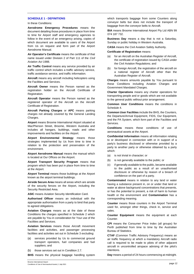# <span id="page-12-0"></span>**SCHEDULE 1 - DEFINITIONS**

In these Conditions:

**Aerodrome Emergency Procedures** means the document detailing those procedures in place from time to time for Airport staff and emergency agencies to follow in the event of an emergency arising, copies of which document are available to users of the Airport from Us on request and form part of the Airport Aerodrome Manual.

**Air Operator's Certificate** means the certificate of that name issued under Division 2 of Part 111 of the *Civil Aviation Act* 1988.

**Air Traffic Control** means any service provided by air traffic control which includes a traffic advisory service, traffic avoidance service, and traffic information.

**Aircraft** means any aircraft including helicopters using the Facilities and Services.

**Aircraft Owner** means the Person named as the registration holder on the Aircraft Certificate of Registration.

**Aircraft Operator** means the Person named as the registered operator of the Aircraft on the Aircraft Certificate of Registration.

**Aircraft Parking Charges** or **APC** means parking charges not already covered by the General Landing Charges.

**Airport** means Broome International Airport situated at MacPherson Street, Broome, Western Australia and includes all hangars, buildings, roads and other improvements and facilities on the Airport.

**Airport Environmental Strategy** means those strategies implemented by Us from time to time in relation to the protection and preservation of the environment.

**Airport Aerodrome Manual** means the manual which is located at Our Offices on the Airport.

**Airport Transport Security Program** means that program which has been put in place from time to time at the Airport.

**Airport Terminal** means those buildings at the Airport known as the airport terminal buildings.

**Airside Secure Area** means all areas which are airside of the security fences on the Airport, including the Security Restricted Area.

**ASIC** means Aviation Security Identification Card.

**Authorised Officer** means an individual with the appropriate authorisation from a party to bind that party to agreed obligations.

**Aviation Charges** means as at the date of these Conditions the charges specified in Schedule 2 which are payable by You in consideration for Your use of the Facilities and Services.

**Aviation Services** means those Aircraft movement facilities and activities, and passenger processing facilities and activities set out in Schedule 3 excluding:

- (a) services provided by Us to commercial ground transport operators, fuel companies and fuel suppliers; and
- (b) those services set out in Condition 2.7.
- **BHS** means the physical baggage handling system

which transports baggage from some Counters along conveyor belts but does not include the transport of baggage from the conveyor belts to Aircraft.

**BIA** means Broome International Airport Pty Ltd ABN 99 074 187 732.

**Business Day** means a day that is not a Saturday, Sunday or public holiday in Western Australia.

**CASA** means the Civil Aviation Safety Authority.

#### **Certificate of Registration** means:

- (a) for an Aircraft on the Australian Register of Aircraft, the certificate of registration issued by CASA under the Civil Aviation Regulations; and
- (b) for foreign Aircraft, the registration of the aircraft on a national register of Aircraft other than the Australian Register of Aircraft.

**Charges** means amounts payable by You pursuant to these Conditions including Aviation Charges and Government Mandated Charges.

**Charter Operations** means any charter operations for transporting people and or goods which are not available to the general public without prior arrangement.

**Common User Conditions** means the conditions in Schedule 4.

**Common User Facilities** include the BHS, the Counters, the Departure/Arrival Equipment, FIDS, Our Equipment, and the PA System, which form part of the Facilities and **Services** 

**Conditions** means these conditions of use of aeronautical assets at the Airport.

**Confidential Information** means all information relating to or developed in connection with or in support of a party's business disclosed or otherwise provided by a party to another party or otherwise obtained by a party which:

- (a) is not trivial in character; or
- (b) is not generally available to the public; or
- (c) if generally available to the public, became available to the public as a result of an unauthorised disclosure or otherwise by reason of a breach of confidence on the part of a party.

**Contaminated** means in relation to any land or water having a substance present in, on or under that land or water at above background concentrations that presents, or has the potential to present, a risk of harm to human health or the environment and **Contamination** has a corresponding meaning.

**Counter** means those counters in the Airport Terminal used for, amongst other things, check in, service and sales.

**Counter Equipment** means the equipment at each Counter.

**CPI** means the Consumer Price Index (all groups) for Perth published from time to time by the Australian Bureau of Statistics.

**CTAF** (Common Traffic Advisory Frequency) means an air traffic frequency at which a mandatory Aircraft radio call is required to be made to pilots of other adjacent aircraft in uncontrolled airspace advising of the pilot's intentions.

**Day** means a period of 24 hours commencing at midnight.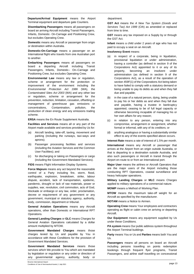**Departure/Arrival Equipment** means the Airport Terminal equipment and departure gate Counters.

**Disembarking Passengers** means all passengers on board an arriving Aircraft including Transit Passengers, Infants, Domestic- On-Carriage and Positioning Crew, but excludes Operating Crew.

**Domestic** means any Aircraft or passenger from origin or destination within Australia.

**Domestic-On-Carriage** means a passenger on an International flight who travels from one Australian port to another.

**Embarking Passengers** means all passengers on board a departing Aircraft including Transit Passengers, Infants, Domestic– On–Carriage and Positioning Crew, but excludes Operating Crew.

**Environmental Law** means any law or regulation, scheme or arrangement for the protection or improvement of the environment including the *Environmental Protection Act 1986* (WA), the *Contaminated Sites Act 2003* (WA) and any other law or regulation, scheme or arrangement for the prevention, reduction, limitation, cessation, offsetting or management of greenhouse gas emissions or concentrations, Contamination, pollution, the production of clean energy and any emissions trading scheme.

**ERSA** means the En Route Supplement Australia.

**Facilities and Services** means all or any part of the Airport made available and services provided by Us for:

- (a) Aircraft landing, take-off, taxiing, movement and parking (including the runways, taxi-ways and aprons);
- (b) Passenger processing facilities and services (including the Aviation Services and the Common User Facilities); and
- (c) for discharging or taking on Passengers or cargo (including the Government Mandated Services).

**FIDS** means Flight Information Display Systems.

**Force Majeure** means any act beyond the reasonable control of a Party including fire, storm, flood, earthquake, explosion, breakdown, strike, labour dispute, accident, lack of transportation, epidemic, pandemic, drought or lack of raw materials, power or supplies, war, revolution, civil commotion, acts of God, blockade or embargo or any law, order, proclamation, decree or requirement of any government or any government, municipal or statutory agency, authority, body, commission, department or tribunal.

**General Aviation Operations** means any Aircraft operations, other than Domestic or International RPT Operations.

**General Landing Charges** or **GLC** means Charges for General Aviation Operations calculated by a dollar amount multiplied by MTOW.

**Government Mandated Charges** means those charges levied by Us and payable by You in accordance with these Conditions for the provision of Government Mandated Services.

**Government Mandated Services** means those services which We provide to You which are mandated by legislation or regulation or any order or direction of any governmental agency, authority, body or department.

**GST Act** means the *A New Tax System (Goods and Services Tax) Act 1999* (Cth) as amended or replaced from time to time.

**GST** means any tax imposed on a Supply by or through the GST Act.

**Infant** means a child under 2 years of age who has not paid to occupy a seat on an Aircraft.

**Insolvency Event** means:

- (a) in respect of a corporate, being in liquidation, provisional liquidation or under administration, having a controller (as defined in section 9 of the Corporations Act) appointed to it or any of its property, becoming an insolvent under administration (as defined in section 9 of the Corporations Act), as a result of the operation of section 459F(1) of the Corporations Act being taken to have failed to comply with a statutory demand or being unable to pay its debts as and when they fall due and payable;
- (b) in the case of a natural person, dying, being unable to pay his or her debts as and when they fall due and payable, having a trustee in bankruptcy appointed, ceasing to be of full legal capacity or otherwise becoming incapable of managing his or her own affairs for any reason;
- (c) in relation to any person, entering into any compromise, arrangement or assignment, whether formal or informal, with any of its creditors; or
- (d) anything analogous or having a substantially similar effect to any of the events specified above occurs.

**Interest Rate** means a rate of interest of 1.5% per month.

**International** means any Aircraft or passenger that arrives at the Airport from an origin outside Australia, or that is departing to a destination outside Australia, and also such passengers or Aircraft in transit through the Airport en-route to or from an International port.

**Major User** means the airlines or Aircraft Operators that are the major users of the Airport including those conducting RPT Operations, coastal surveillance and heavy helicopter operations.

**Military Landing Charges** or **MLC** means Charges applied to military operations of a commercial nature.

**MOWP** means a Method of Working Plan.

**MTOW** means the maximum take-off weight for an Aircraft as specified by the manufacturer.

**NOTAM** means a Notice to Airmen.

**Operating Crew** means Your employees and contractors operating as flight or cabin crew on arriving or departing Aircraft.

**Our Equipment** means any equipment supplied by Us under these Conditions.

**PA system** means Our public address system throughout the Airport Terminal buildings.

**Party** means You or Us and **Parties** means both You and Us.

**Passengers** means all persons on board an Aircraft including persons travelling on points redemption bookings through frequent flyer programs, Transit Passengers, and airline staff travelling on concessional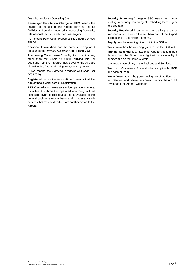fares, but excludes Operating Crew.

**Passenger Facilitation Charge** or **PFC** means the charge for the use of the Airport Terminal and its facilities and services incurred in processing Domestic, International, military and other Passengers.

**PCP** means Pearl Coast Properties Pty Ltd ABN 34 009 197 031.

**Personal Information** has the same meaning as it does under the *Privacy Act 1988* (Cth) (**Privacy Act**).

**Positioning Crew** means Your flight and cabin crew, other than the Operating Crew, arriving into, or departing from the Airport on duty travel for the purpose of positioning for, or returning from, crewing duties.

**PPSA** means the *Personal Property Securities Act 2009* (Cth).

**Registered** in relation to an Aircraft means that the Aircraft has a Certificate of Registration.

**RPT Operations** means air service operations where, for a fee, the Aircraft is operated according to fixed schedules over specific routes and is available to the general public on a regular basis, and includes any such services that may be diverted from another airport to the Airport.

**Security Screening Charge** or **SSC** means the charge relating to security screening of Embarking Passengers and baggage.

**Security Restricted Area** means the regular passenger transport apron area on the southern part of the Airport surrounding to the Airport Terminal.

**Supply** has the meaning given to it in the GST Act.

**Tax invoice** has the meaning given to it in the GST Act.

**Transit Passenger** is a Passenger who arrives and then departs from the Airport on a flight with the same flight number and on the same Aircraft.

**Use** means use of any of the Facilities and Services.

**We**, **Us** or **Our** means BIA and, where applicable, PCP and each of them.

**You** or **Your** means the person using any of the Facilities and Services and, where the context permits, the Aircraft Owner and the Aircraft Operator.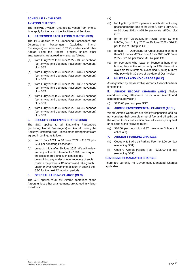# <span id="page-15-0"></span>**SCHEDULE 2 - CHARGES AVIATION CHARGES**

The following Aviation Charges as varied from time to time apply for the use of the Facilities and Services.

# <span id="page-15-1"></span>**1. PASSENGER FACILITATION CHARGE (PFC)**

The PFC applies to all Embarking Passengers and Disembarking Passengers (excluding Transit Passengers) on scheduled RPT Operations and other Aircraft using the Airport Terminal, unless other arrangements are agreed in writing, as follows:

- from 1 July 2021 to 30 June 2022 \$33.48 per head (per arriving and departing Passenger movement) plus GST.
- (b) from 1 July 2022 to 30 June 2023 \$34.31 per head (per arriving and departing Passenger movement) plus GST.
- (c) from 1 July 2023 to 30 June 2024 \$35.17 per head (per arriving and departing Passenger movement) plus GST.
- (d) from 1 July 2024 to 30 June 2025 \$36.05 per head (per arriving and departing Passenger movement) plus GST.
- (e) from 1 July 2025 to 30 June 2026 \$36.95 per head (per arriving and departing Passenger movement) plus GST.

# <span id="page-15-2"></span>**2. SECURITY SCREENING CHARGE (SSC)**

The SSC applies to all Embarking Passengers (excluding Transit Passengers) on Aircraft using the Security Restricted Area, unless other arrangements are agreed in writing, as follows:

- (a) from 1 July 2021 to 30 June 2022 \$13.79 plus GST per departing Passenger.
- (b) on each 1 July after 30 June 2022, We will review and adjust the SSC to reflect a 100% recovery of the costs of providing such services (by determining any under or over recovery of such costs in the previous 12 months and taking such under or over recovery into account in setting the SSC for the next 12 months' period).

#### <span id="page-15-3"></span>**3. GENERAL LANDING CHARGE (GLC)**

The GLC applies to all civil Aircraft operations at the Airport, unless other arrangements are agreed in writing, as follows:

- (a)
- (b) for flights by RPT operators which do not carry passengers who land at the Airport, from 1 July 2021 to 30 June 2022 - \$25.26 per tonne MTOW plus GST.
- (c) for non RPT Operations for Aircraft under 5.7 tons MTOW, from 1 July 2021 to 30 June 2022 - \$26.71 per tonne MTOW plus GST.
- (d) for non RPT Operations for Aircraft equal to or more than 5.7 tonnes MTOW, from 1 July 2021 to 30 June 2022 - \$31.51 per tonne MTOW plus GST.
- (e) for operators who lease or licence a hangar or landing bay at the Airport only, a 25% discount is available for Aircraft not exceeding 2,800kg MTOW who pay within 30 days of the date of Our invoice.

# <span id="page-15-4"></span>**4. MILITARY LANDING CHARGES (MLC)**

As negotiated by the Australian Airports Association from time to time.

**5. AIRSIDE ESCORT CHARGES (AEC)** Airside escort (including attendance on or to an Aircraft and contractor supervision):

(f) \$150.00 per hour plus GST.

# <span id="page-15-5"></span>**6. AIRSIDE ENVIRONMENTAL CHARGES (AECS)**

Where Aircraft Operators are directly responsible and do not complete their own clean-up of fuel and oil spills on the Airport to Our satisfaction, We will clean up any fuel or oil spills at the following rates:

- (g) \$80.00 per hour plus GST (minimum 3 hours if called out).
- <span id="page-15-6"></span>**7. AIRCRAFT PARKING CHARGES**
- (h) Codes A & B Aircraft Parking Fee \$43.00 per day (excluding GST).
- (i) Code C Aircraft Parking Fee \$295.00 per day (excluding GST).

#### **GOVERNMENT MANDATED CHARGES**

There are currently no Government Mandated Charges applicable.